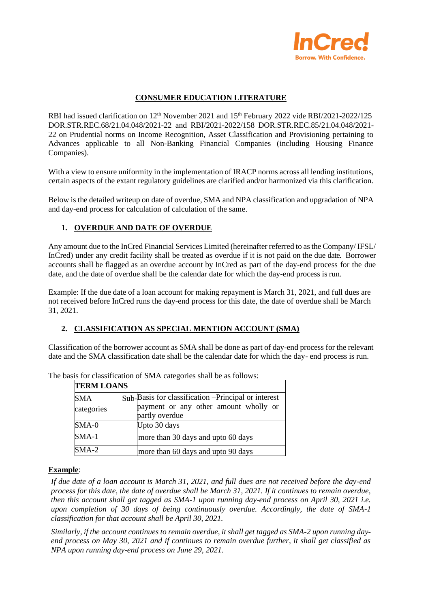

## **CONSUMER EDUCATION LITERATURE**

RBI had issued clarification on 12<sup>th</sup> November 2021 and 15<sup>th</sup> February 2022 vide RBI/2021-2022/125 DOR.STR.REC.68/21.04.048/2021-22 and RBI/2021-2022/158 DOR.STR.REC.85/21.04.048/2021- 22 on Prudential norms on Income Recognition, Asset Classification and Provisioning pertaining to Advances applicable to all Non-Banking Financial Companies (including Housing Finance Companies).

With a view to ensure uniformity in the implementation of IRACP norms across all lending institutions, certain aspects of the extant regulatory guidelines are clarified and/or harmonized via this clarification.

Below is the detailed writeup on date of overdue, SMA and NPA classification and upgradation of NPA and day-end process for calculation of calculation of the same.

# **1. OVERDUE AND DATE OF OVERDUE**

Any amount due to the InCred Financial Services Limited (hereinafter referred to as the Company/ IFSL/ InCred) under any credit facility shall be treated as overdue if it is not paid on the due date. Borrower accounts shall be flagged as an overdue account by InCred as part of the day-end process for the due date, and the date of overdue shall be the calendar date for which the day-end process is run.

Example: If the due date of a loan account for making repayment is March 31, 2021, and full dues are not received before InCred runs the day-end process for this date, the date of overdue shall be March 31, 2021.

## **2. CLASSIFICATION AS SPECIAL MENTION ACCOUNT (SMA)**

Classification of the borrower account as SMA shall be done as part of day-end process for the relevant date and the SMA classification date shall be the calendar date for which the day- end process is run.

| <b>TERM LOANS</b>        |                                                                                                                     |
|--------------------------|---------------------------------------------------------------------------------------------------------------------|
| <b>SMA</b><br>categories | $Sub$ -Basis for classification $-Principle$ or interest<br>payment or any other amount wholly or<br>partly overdue |
| SMA-0                    | Upto 30 days                                                                                                        |
| $SMA-1$                  | more than 30 days and upto 60 days                                                                                  |
| $SMA-2$                  | more than 60 days and upto 90 days                                                                                  |

The basis for classification of SMA categories shall be as follows:

#### **Example**:

*If due date of a loan account is March 31, 2021, and full dues are not received before the day-end process for this date, the date of overdue shall be March 31, 2021. If it continues to remain overdue, then this account shall get tagged as SMA-1 upon running day-end process on April 30, 2021 i.e. upon completion of 30 days of being continuously overdue. Accordingly, the date of SMA-1 classification for that account shall be April 30, 2021.*

*Similarly, if the account continues to remain overdue, it shall get tagged as SMA-2 upon running dayend process on May 30, 2021 and if continues to remain overdue further, it shall get classified as NPA upon running day-end process on June 29, 2021.*